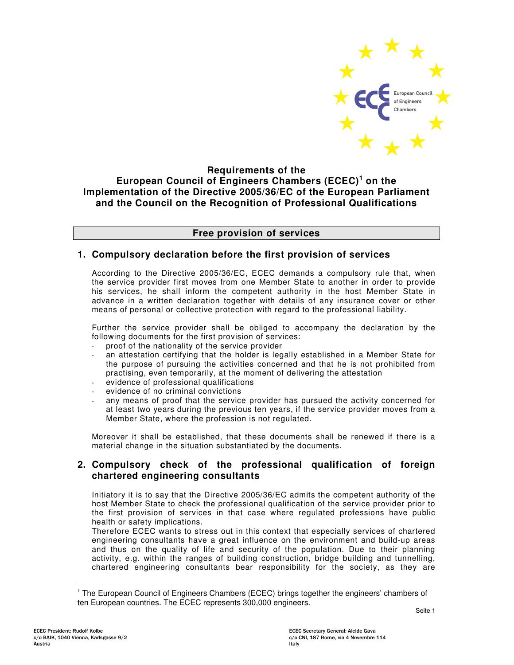

## **Requirements of the European Council of Engineers Chambers (ECEC) <sup>1</sup> on the Implementation of the Directive 2005/36/EC of the European Parliament and the Council on the Recognition of Professional Qualifications**

### **Free provision of services**

## **1. Compulsory declaration before the first provision of services**

According to the Directive 2005/36/EC, ECEC demands a compulsory rule that, when the service provider first moves from one Member State to another in order to provide his services, he shall inform the competent authority in the host Member State in advance in a written declaration together with details of any insurance cover or other means of personal or collective protection with regard to the professional liability.

Further the service provider shall be obliged to accompany the declaration by the following documents for the first provision of services:

- proof of the nationality of the service provider
- an attestation certifying that the holder is legally established in a Member State for the purpose of pursuing the activities concerned and that he is not prohibited from practising, even temporarily, at the moment of delivering the attestation
- evidence of professional qualifications
- evidence of no criminal convictions
- any means of proof that the service provider has pursued the activity concerned for at least two years during the previous ten years, if the service provider moves from a Member State, where the profession is not regulated.

Moreover it shall be established, that these documents shall be renewed if there is a material change in the situation substantiated by the documents.

## **2. Compulsory check of the professional qualification of foreign chartered engineering consultants**

Initiatory it is to say that the Directive 2005/36/EC admits the competent authority of the host Member State to check the professional qualification of the service provider prior to the first provision of services in that case where regulated professions have public health or safety implications.

Therefore ECEC wants to stress out in this context that especially services of chartered engineering consultants have a great influence on the environment and build-up areas and thus on the quality of life and security of the population. Due to their planning activity, e.g. within the ranges of building construction, bridge building and tunnelling, chartered engineering consultants bear responsibility for the society, as they are

<sup>&</sup>lt;sup>1</sup> The European Council of Engineers Chambers (ECEC) brings together the engineers' chambers of ten European countries. The ECEC represents 300,000 engineers.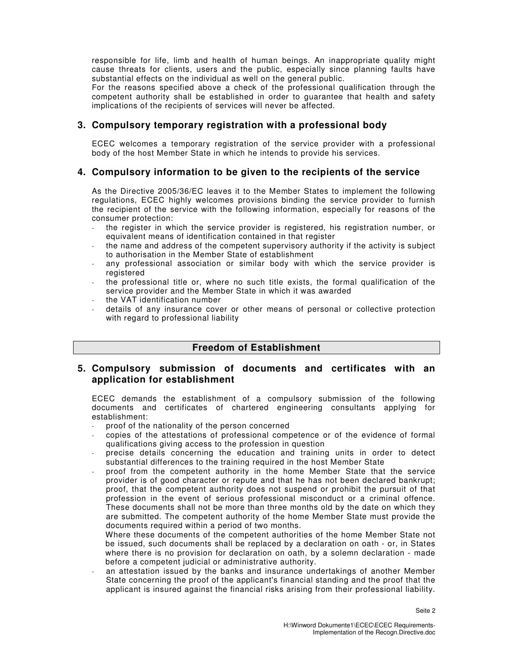responsible for life, limb and health of human beings. An inappropriate quality might cause threats for clients, users and the public, especially since planning faults have substantial effects on the individual as well on the general public.

For the reasons specified above a check of the professional qualification through the competent authority shall be established in order to guarantee that health and safety implications of the recipients of services will never be affected.

### **3. Compulsory temporary registration with a professional body**

ECEC welcomes a temporary registration of the service provider with a professional body of the host Member State in which he intends to provide his services.

# **4. Compulsory information to be given to the recipients of the service**

As the Directive 2005/36/EC leaves it to the Member States to implement the following regulations, ECEC highly welcomes provisions binding the service provider to furnish the recipient of the service with the following information, especially for reasons of the consumer protection:

- the register in which the service provider is registered, his registration number, or equivalent means of identification contained in that register
- the name and address of the competent supervisory authority if the activity is subject to authorisation in the Member State of establishment
- any professional association or similar body with which the service provider is registered
- the professional title or, where no such title exists, the formal qualification of the service provider and the Member State in which it was awarded
- the VAT identification number
- details of any insurance cover or other means of personal or collective protection with regard to professional liability

### **Freedom of Establishment**

### **5. Compulsory submission of documents and certificates with an application for establishment**

ECEC demands the establishment of a compulsory submission of the following documents and certificates of chartered engineering consultants applying for establishment:

- proof of the nationality of the person concerned
- copies of the attestations of professional competence or of the evidence of formal qualifications giving access to the profession in question
- precise details concerning the education and training units in order to detect substantial differences to the training required in the host Member State
- proof from the competent authority in the home Member State that the service provider is of good character or repute and that he has not been declared bankrupt; proof, that the competent authority does not suspend or prohibit the pursuit of that profession in the event of serious professional misconduct or a criminal offence. These documents shall not be more than three months old by the date on which they are submitted. The competent authority of the home Member State must provide the documents required within a period of two months.

Where these documents of the competent authorities of the home Member State not be issued, such documents shall be replaced by a declaration on oath - or, in States where there is no provision for declaration on oath, by a solemn declaration - made before a competent judicial or administrative authority.

an attestation issued by the banks and insurance undertakings of another Member State concerning the proof of the applicant's financial standing and the proof that the applicant is insured against the financial risks arising from their professional liability.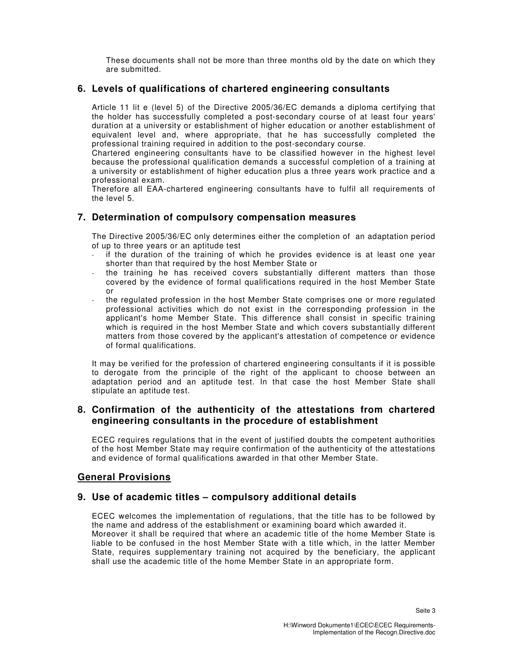These documents shall not be more than three months old by the date on which they are submitted.

## **6. Levels of qualifications of chartered engineering consultants**

Article 11 lit e (level 5) of the Directive 2005/36/EC demands a diploma certifying that the holder has successfully completed a post-secondary course of at least four years' duration at a university or establishment of higher education or another establishment of equivalent level and, where appropriate, that he has successfully completed the professional training required in addition to the post-secondary course.

Chartered engineering consultants have to be classified however in the highest level because the professional qualification demands a successful completion of a training at a university or establishment of higher education plus a three years work practice and a professional exam.

Therefore all EAA-chartered engineering consultants have to fulfil all requirements of the level 5.

### **7. Determination of compulsory compensation measures**

The Directive 2005/36/EC only determines either the completion of an adaptation period of up to three years or an aptitude test

- if the duration of the training of which he provides evidence is at least one year shorter than that required by the host Member State or
- the training he has received covers substantially different matters than those covered by the evidence of formal qualifications required in the host Member State or
- the regulated profession in the host Member State comprises one or more regulated professional activities which do not exist in the corresponding profession in the applicant's home Member State. This difference shall consist in specific training which is required in the host Member State and which covers substantially different matters from those covered by the applicant's attestation of competence or evidence of formal qualifications.

It may be verified for the profession of chartered engineering consultants if it is possible to derogate from the principle of the right of the applicant to choose between an adaptation period and an aptitude test. In that case the host Member State shall stipulate an aptitude test.

### **8. Confirmation of the authenticity of the attestations from chartered engineering consultants in the procedure of establishment**

ECEC requires regulations that in the event of justified doubts the competent authorities of the host Member State may require confirmation of the authenticity of the attestations and evidence of formal qualifications awarded in that other Member State.

# **General Provisions**

### **9. Use of academic titles – compulsory additional details**

ECEC welcomes the implementation of regulations, that the title has to be followed by the name and address of the establishment or examining board which awarded it. Moreover it shall be required that where an academic title of the home Member State is liable to be confused in the host Member State with a title which, in the latter Member State, requires supplementary training not acquired by the beneficiary, the applicant shall use the academic title of the home Member State in an appropriate form.